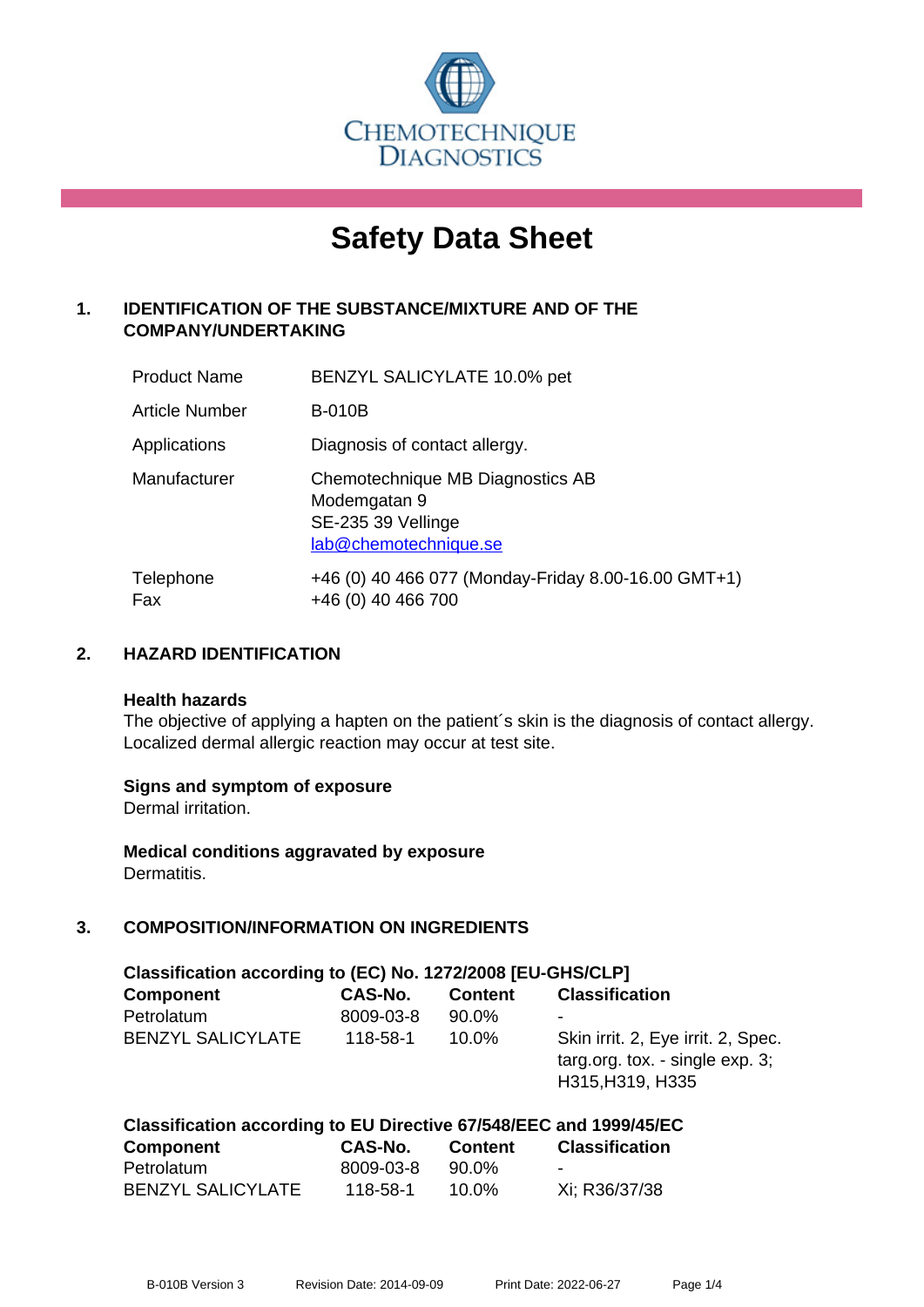

# **Safety Data Sheet**

# **1. IDENTIFICATION OF THE SUBSTANCE/MIXTURE AND OF THE COMPANY/UNDERTAKING**

| <b>Product Name</b> | BENZYL SALICYLATE 10.0% pet                                                                     |
|---------------------|-------------------------------------------------------------------------------------------------|
| Article Number      | <b>B-010B</b>                                                                                   |
| Applications        | Diagnosis of contact allergy.                                                                   |
| Manufacturer        | Chemotechnique MB Diagnostics AB<br>Modemgatan 9<br>SE-235 39 Vellinge<br>lab@chemotechnique.se |
| Telephone<br>Fax    | +46 (0) 40 466 077 (Monday-Friday 8.00-16.00 GMT+1)<br>+46 (0) 40 466 700                       |

## **2. HAZARD IDENTIFICATION**

#### **Health hazards**

The objective of applying a hapten on the patient's skin is the diagnosis of contact allergy. Localized dermal allergic reaction may occur at test site.

## **Signs and symptom of exposure**

Dermal irritation.

**Medical conditions aggravated by exposure** Dermatitis.

# **3. COMPOSITION/INFORMATION ON INGREDIENTS**

| Classification according to (EC) No. 1272/2008 [EU-GHS/CLP] |           |                |                                                                                           |  |
|-------------------------------------------------------------|-----------|----------------|-------------------------------------------------------------------------------------------|--|
| <b>Component</b>                                            | CAS-No.   | <b>Content</b> | <b>Classification</b>                                                                     |  |
| Petrolatum                                                  | 8009-03-8 | 90.0%          | ٠                                                                                         |  |
| <b>BENZYL SALICYLATE</b>                                    | 118-58-1  | $10.0\%$       | Skin irrit. 2, Eye irrit. 2, Spec.<br>targ.org. tox. - single exp. 3;<br>H315, H319, H335 |  |

| Classification according to EU Directive 67/548/EEC and 1999/45/EC |           |          |                       |  |  |
|--------------------------------------------------------------------|-----------|----------|-----------------------|--|--|
| Component                                                          | CAS-No.   | Content  | <b>Classification</b> |  |  |
| Petrolatum                                                         | 8009-03-8 | 90.0%    |                       |  |  |
| <b>BENZYL SALICYLATE</b>                                           | 118-58-1  | $10.0\%$ | Xi; R36/37/38         |  |  |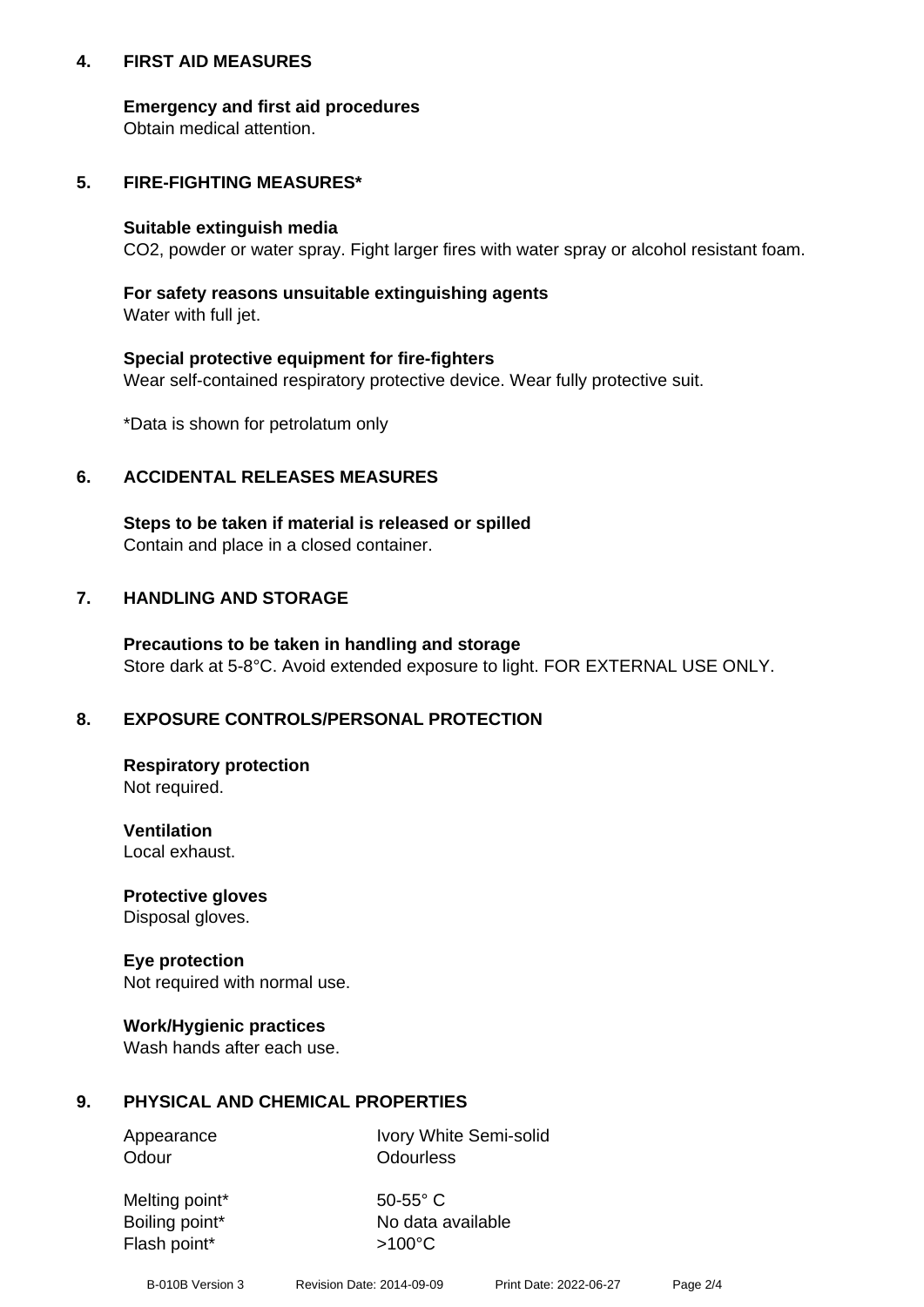## **4. FIRST AID MEASURES**

## **Emergency and first aid procedures**

Obtain medical attention.

# **5. FIRE-FIGHTING MEASURES\***

#### **Suitable extinguish media**

CO2, powder or water spray. Fight larger fires with water spray or alcohol resistant foam.

# **For safety reasons unsuitable extinguishing agents**

Water with full jet.

## **Special protective equipment for fire-fighters**

Wear self-contained respiratory protective device. Wear fully protective suit.

\*Data is shown for petrolatum only

## **6. ACCIDENTAL RELEASES MEASURES**

**Steps to be taken if material is released or spilled** Contain and place in a closed container.

# **7. HANDLING AND STORAGE**

**Precautions to be taken in handling and storage** Store dark at 5-8°C. Avoid extended exposure to light. FOR EXTERNAL USE ONLY.

# **8. EXPOSURE CONTROLS/PERSONAL PROTECTION**

**Respiratory protection** Not required.

**Ventilation** Local exhaust.

**Protective gloves** Disposal gloves.

#### **Eye protection** Not required with normal use.

## **Work/Hygienic practices**

Wash hands after each use.

## **9. PHYSICAL AND CHEMICAL PROPERTIES**

Odour **Odourless** 

Appearance Ivory White Semi-solid

Melting point\* 50-55° C Flash point\*  $>100^{\circ}$ C

Boiling point\* No data available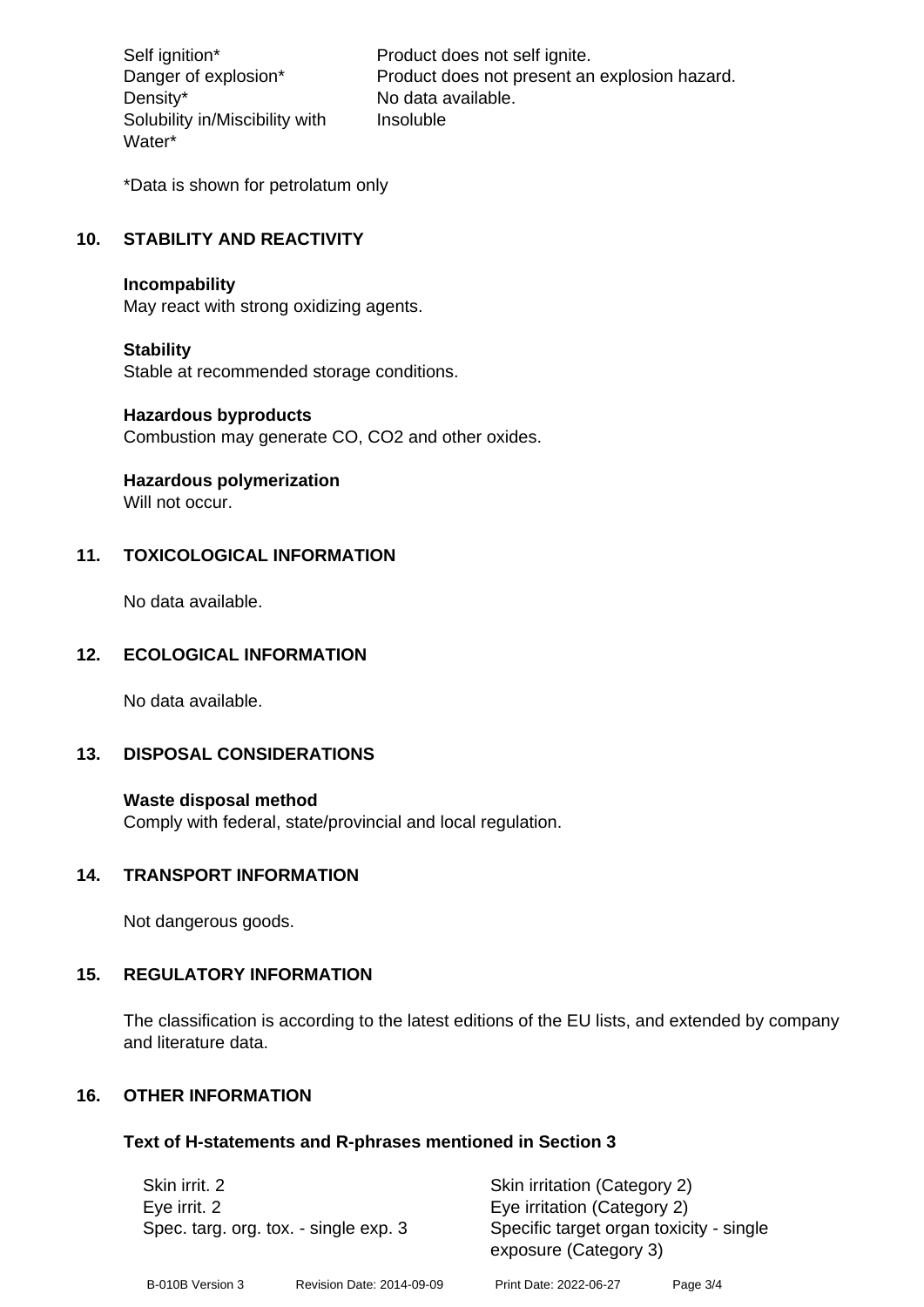Density\* No data available. Solubility in/Miscibility with Water\*

Self ignition\* Product does not self ignite. Danger of explosion\* Product does not present an explosion hazard. Insoluble

\*Data is shown for petrolatum only

# **10. STABILITY AND REACTIVITY**

#### **Incompability**

May react with strong oxidizing agents.

#### **Stability**

Stable at recommended storage conditions.

#### **Hazardous byproducts**

Combustion may generate CO, CO2 and other oxides.

**Hazardous polymerization**

Will not occur.

## **11. TOXICOLOGICAL INFORMATION**

No data available.

## **12. ECOLOGICAL INFORMATION**

No data available.

## **13. DISPOSAL CONSIDERATIONS**

#### **Waste disposal method**

Comply with federal, state/provincial and local regulation.

#### **14. TRANSPORT INFORMATION**

Not dangerous goods.

## **15. REGULATORY INFORMATION**

The classification is according to the latest editions of the EU lists, and extended by company and literature data.

#### **16. OTHER INFORMATION**

#### **Text of H-statements and R-phrases mentioned in Section 3**

| Skin irrit. 2                                         |                           | Skin irritation (Category 2)                                     |          |  |
|-------------------------------------------------------|---------------------------|------------------------------------------------------------------|----------|--|
| Eye irrit. 2<br>Spec. targ. org. tox. - single exp. 3 |                           | Eye irritation (Category 2)                                      |          |  |
|                                                       |                           | Specific target organ toxicity - single<br>exposure (Category 3) |          |  |
| B-010B Version 3                                      | Revision Date: 2014-09-09 | Print Date: 2022-06-27                                           | Page 3/4 |  |